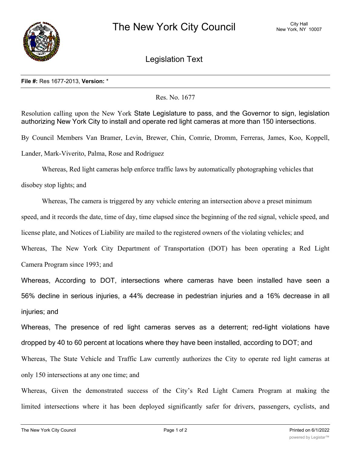

Legislation Text

## **File #:** Res 1677-2013, **Version:** \*

Res. No. 1677

Resolution calling upon the New York State Legislature to pass, and the Governor to sign, legislation authorizing New York City to install and operate red light cameras at more than 150 intersections.

By Council Members Van Bramer, Levin, Brewer, Chin, Comrie, Dromm, Ferreras, James, Koo, Koppell, Lander, Mark-Viverito, Palma, Rose and Rodriguez

Whereas, Red light cameras help enforce traffic laws by automatically photographing vehicles that

disobey stop lights; and

Whereas, The camera is triggered by any vehicle entering an intersection above a preset minimum

speed, and it records the date, time of day, time elapsed since the beginning of the red signal, vehicle speed, and

license plate, and Notices of Liability are mailed to the registered owners of the violating vehicles; and

Whereas, The New York City Department of Transportation (DOT) has been operating a Red Light Camera Program since 1993; and

Whereas, According to DOT, intersections where cameras have been installed have seen a 56% decline in serious injuries, a 44% decrease in pedestrian injuries and a 16% decrease in all injuries; and

Whereas, The presence of red light cameras serves as a deterrent; red-light violations have dropped by 40 to 60 percent at locations where they have been installed, according to DOT; and

Whereas, The State Vehicle and Traffic Law currently authorizes the City to operate red light cameras at only 150 intersections at any one time; and

Whereas, Given the demonstrated success of the City's Red Light Camera Program at making the limited intersections where it has been deployed significantly safer for drivers, passengers, cyclists, and